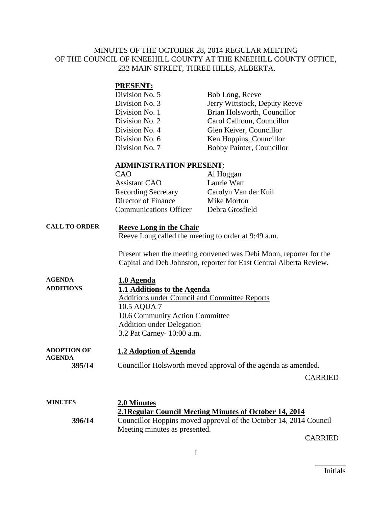## MINUTES OF THE OCTOBER 28, 2014 REGULAR MEETING OF THE COUNCIL OF KNEEHILL COUNTY AT THE KNEEHILL COUNTY OFFICE, 232 MAIN STREET, THREE HILLS, ALBERTA.

### **PRESENT:**

| Division No. 5 | Bob Long, Reeve               |
|----------------|-------------------------------|
| Division No. 3 | Jerry Wittstock, Deputy Reeve |
| Division No. 1 | Brian Holsworth, Councillor   |
| Division No. 2 | Carol Calhoun, Councillor     |
| Division No. 4 | Glen Keiver, Councillor       |
| Division No. 6 | Ken Hoppins, Councillor       |
| Division No. 7 | Bobby Painter, Councillor     |

### **ADMINISTRATION PRESENT**:

| CAO                           | Al Hoggan            |
|-------------------------------|----------------------|
| <b>Assistant CAO</b>          | Laurie Watt          |
| <b>Recording Secretary</b>    | Carolyn Van der Kuil |
| Director of Finance           | Mike Morton          |
| <b>Communications Officer</b> | Debra Grosfield      |

### **CALL TO ORDER Reeve Long in the Chair**

Reeve Long called the meeting to order at 9:49 a.m.

Present when the meeting convened was Debi Moon, reporter for the Capital and Deb Johnston, reporter for East Central Alberta Review.

| <b>AGENDA</b>    | 1.0 Agenda                                    |
|------------------|-----------------------------------------------|
| <b>ADDITIONS</b> | 1.1 Additions to the Agenda                   |
|                  | Additions under Council and Committee Reports |
|                  | 10.5 AQUA 7                                   |
|                  | 10.6 Community Action Committee               |
|                  | <b>Addition under Delegation</b>              |
|                  | 3.2 Pat Carney- 10:00 a.m.                    |
|                  |                                               |

#### **ADOPTION OF AGENDA 1.2 Adoption of Agenda**

**395/14** Councillor Holsworth moved approval of the agenda as amended.

CARRIED

## **MINUTES 2.0 Minutes 2.1Regular Council Meeting Minutes of October 14, 2014 396/14** Councillor Hoppins moved approval of the October 14, 2014 Council Meeting minutes as presented.

CARRIED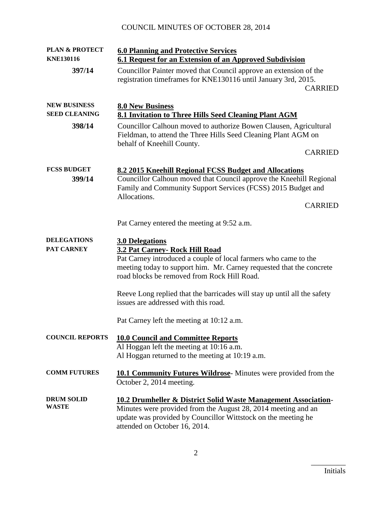# COUNCIL MINUTES OF OCTOBER 28, 2014

| <b>PLAN &amp; PROTECT</b><br><b>KNE130116</b> | <b>6.0 Planning and Protective Services</b>                                                                                                                                                                                                        |  |
|-----------------------------------------------|----------------------------------------------------------------------------------------------------------------------------------------------------------------------------------------------------------------------------------------------------|--|
| 397/14                                        | 6.1 Request for an Extension of an Approved Subdivision<br>Councillor Painter moved that Council approve an extension of the<br>registration timeframes for KNE130116 until January 3rd, 2015.<br><b>CARRIED</b>                                   |  |
| <b>NEW BUSINESS</b><br><b>SEED CLEANING</b>   | <b>8.0 New Business</b><br>8.1 Invitation to Three Hills Seed Cleaning Plant AGM                                                                                                                                                                   |  |
| 398/14                                        | Councillor Calhoun moved to authorize Bowen Clausen, Agricultural<br>Fieldman, to attend the Three Hills Seed Cleaning Plant AGM on<br>behalf of Kneehill County.                                                                                  |  |
|                                               | <b>CARRIED</b>                                                                                                                                                                                                                                     |  |
| <b>FCSS BUDGET</b><br>399/14                  | 8.2 2015 Kneehill Regional FCSS Budget and Allocations<br>Councillor Calhoun moved that Council approve the Kneehill Regional<br>Family and Community Support Services (FCSS) 2015 Budget and<br>Allocations.                                      |  |
|                                               | <b>CARRIED</b>                                                                                                                                                                                                                                     |  |
|                                               | Pat Carney entered the meeting at 9:52 a.m.                                                                                                                                                                                                        |  |
| <b>DELEGATIONS</b><br><b>PAT CARNEY</b>       | <b>3.0 Delegations</b><br>3.2 Pat Carney- Rock Hill Road<br>Pat Carney introduced a couple of local farmers who came to the<br>meeting today to support him. Mr. Carney requested that the concrete<br>road blocks be removed from Rock Hill Road. |  |
|                                               | Reeve Long replied that the barricades will stay up until all the safety<br>issues are addressed with this road.                                                                                                                                   |  |
|                                               | Pat Carney left the meeting at 10:12 a.m.                                                                                                                                                                                                          |  |
| <b>COUNCIL REPORTS</b>                        | <b>10.0 Council and Committee Reports</b><br>Al Hoggan left the meeting at 10:16 a.m.<br>Al Hoggan returned to the meeting at 10:19 a.m.                                                                                                           |  |
| <b>COMM FUTURES</b>                           | 10.1 Community Futures Wildrose-Minutes were provided from the<br>October 2, 2014 meeting.                                                                                                                                                         |  |
| <b>DRUM SOLID</b><br>WASTE                    | <b>10.2 Drumheller &amp; District Solid Waste Management Association-</b><br>Minutes were provided from the August 28, 2014 meeting and an<br>update was provided by Councillor Wittstock on the meeting he<br>attended on October 16, 2014.       |  |

 $\overline{\phantom{a}}$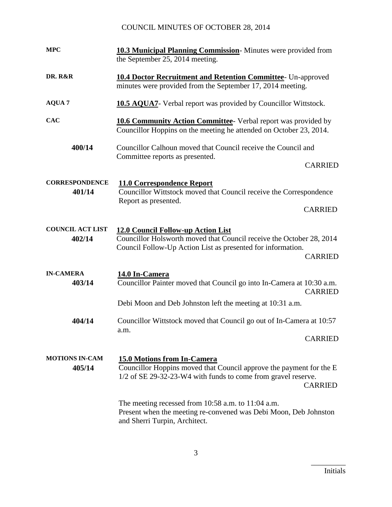# COUNCIL MINUTES OF OCTOBER 28, 2014

| <b>MPC</b>                        | <b>10.3 Municipal Planning Commission</b> -Minutes were provided from<br>the September 25, 2014 meeting.                                                                                     |
|-----------------------------------|----------------------------------------------------------------------------------------------------------------------------------------------------------------------------------------------|
| DR. R&R                           | 10.4 Doctor Recruitment and Retention Committee- Un-approved<br>minutes were provided from the September 17, 2014 meeting.                                                                   |
| <b>AQUA 7</b>                     | <b>10.5 AQUA7</b> - Verbal report was provided by Councillor Wittstock.                                                                                                                      |
| <b>CAC</b>                        | 10.6 Community Action Committee- Verbal report was provided by<br>Councillor Hoppins on the meeting he attended on October 23, 2014.                                                         |
| 400/14                            | Councillor Calhoun moved that Council receive the Council and<br>Committee reports as presented.                                                                                             |
|                                   | <b>CARRIED</b>                                                                                                                                                                               |
| <b>CORRESPONDENCE</b><br>401/14   | <b>11.0 Correspondence Report</b><br>Councillor Wittstock moved that Council receive the Correspondence<br>Report as presented.                                                              |
|                                   | <b>CARRIED</b>                                                                                                                                                                               |
| <b>COUNCIL ACT LIST</b><br>402/14 | 12.0 Council Follow-up Action List<br>Councillor Holsworth moved that Council receive the October 28, 2014<br>Council Follow-Up Action List as presented for information.<br><b>CARRIED</b>  |
| <b>IN-CAMERA</b><br>403/14        | 14.0 In-Camera<br>Councillor Painter moved that Council go into In-Camera at 10:30 a.m.<br><b>CARRIED</b>                                                                                    |
|                                   | Debi Moon and Deb Johnston left the meeting at 10:31 a.m.                                                                                                                                    |
| 404/14                            | Councillor Wittstock moved that Council go out of In-Camera at 10:57<br>a.m.                                                                                                                 |
|                                   | <b>CARRIED</b>                                                                                                                                                                               |
| <b>MOTIONS IN-CAM</b><br>405/14   | <b>15.0 Motions from In-Camera</b><br>Councillor Hoppins moved that Council approve the payment for the E<br>1/2 of SE 29-32-23-W4 with funds to come from gravel reserve.<br><b>CARRIED</b> |
|                                   | The meeting recessed from $10:58$ a.m. to $11:04$ a.m.<br>Present when the meeting re-convened was Debi Moon, Deb Johnston<br>and Sherri Turpin, Architect.                                  |

 $\overline{\phantom{a}}$